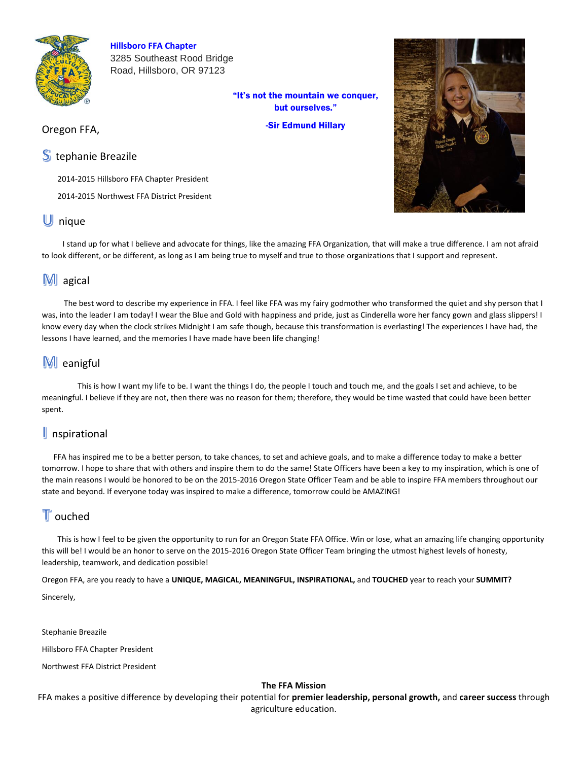

**Hillsboro FFA Chapter**  3285 Southeast Rood Bridge Road, Hillsboro, OR 97123

> "It's not the mountain we conquer, but ourselves."

> > -Sir Edmund Hillary

## Oregon FFA,

## S tephanie Breazile

2014-2015 Hillsboro FFA Chapter President

2014-2015 Northwest FFA District President

## U nique

 I stand up for what I believe and advocate for things, like the amazing FFA Organization, that will make a true difference. I am not afraid to look different, or be different, as long as I am being true to myself and true to those organizations that I support and represent.

# M agical

 The best word to describe my experience in FFA. I feel like FFA was my fairy godmother who transformed the quiet and shy person that I was, into the leader I am today! I wear the Blue and Gold with happiness and pride, just as Cinderella wore her fancy gown and glass slippers! I know every day when the clock strikes Midnight I am safe though, because this transformation is everlasting! The experiences I have had, the lessons I have learned, and the memories I have made have been life changing!

# M eanigful

 This is how I want my life to be. I want the things I do, the people I touch and touch me, and the goals I set and achieve, to be meaningful. I believe if they are not, then there was no reason for them; therefore, they would be time wasted that could have been better spent.

## spirational

 FFA has inspired me to be a better person, to take chances, to set and achieve goals, and to make a difference today to make a better tomorrow. I hope to share that with others and inspire them to do the same! State Officers have been a key to my inspiration, which is one of the main reasons I would be honored to be on the 2015-2016 Oregon State Officer Team and be able to inspire FFA members throughout our state and beyond. If everyone today was inspired to make a difference, tomorrow could be AMAZING!

# $\mathbb T$  ouched

 This is how I feel to be given the opportunity to run for an Oregon State FFA Office. Win or lose, what an amazing life changing opportunity this will be! I would be an honor to serve on the 2015-2016 Oregon State Officer Team bringing the utmost highest levels of honesty, leadership, teamwork, and dedication possible!

Oregon FFA, are you ready to have a **UNIQUE, MAGICAL, MEANINGFUL, INSPIRATIONAL,** and **TOUCHED** year to reach your **SUMMIT?**  Sincerely,

Stephanie Breazile

Hillsboro FFA Chapter President

Northwest FFA District President

#### **The FFA Mission**

FFA makes a positive difference by developing their potential for **premier leadership, personal growth,** and **career success** through agriculture education.